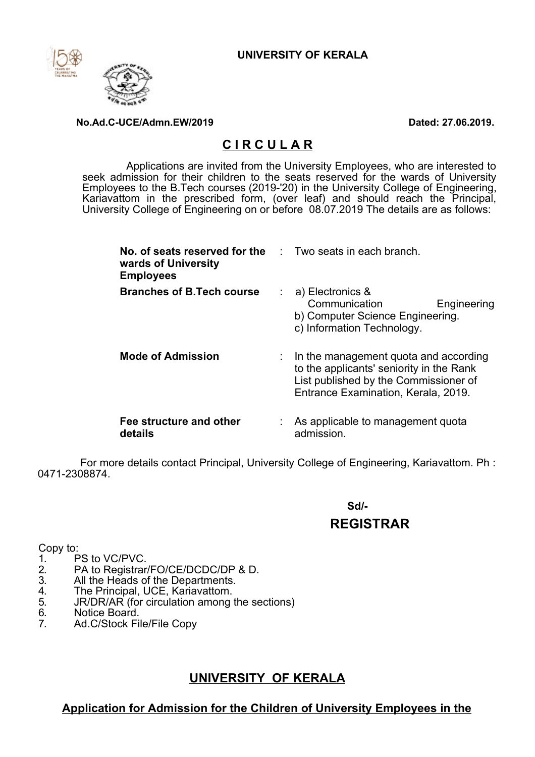

#### **No.Ad.C-UCE/Admn.EW/2019 Dated: 27.06.2019.**

## **C I R C U L A R**

Applications are invited from the University Employees, who are interested to seek admission for their children to the seats reserved for the wards of University Employees to the B.Tech courses (2019-'20) in the University College of Engineering, Kariavattom in the prescribed form, (over leaf) and should reach the Principal, University College of Engineering on or before 08.07.2019 The details are as follows:

| No. of seats reserved for the Two seats in each branch.<br>wards of University<br><b>Employees</b> |                |                                                                                                                                                                                |  |
|----------------------------------------------------------------------------------------------------|----------------|--------------------------------------------------------------------------------------------------------------------------------------------------------------------------------|--|
| <b>Branches of B.Tech course</b>                                                                   | $\mathbb{R}^n$ | a) Electronics &<br>Communication<br>Engineering<br>b) Computer Science Engineering.<br>c) Information Technology.                                                             |  |
| <b>Mode of Admission</b>                                                                           |                | $\therefore$ In the management quota and according<br>to the applicants' seniority in the Rank<br>List published by the Commissioner of<br>Entrance Examination, Kerala, 2019. |  |
| Fee structure and other<br>details                                                                 |                | As applicable to management quota<br>admission.                                                                                                                                |  |

For more details contact Principal, University College of Engineering, Kariavattom. Ph : 0471-2308874.

# **Sd/- REGISTRAR**

- Copy to:<br>1. F
- 1. PS to VC/PVC.<br>2. PA to Registrar<br>3. All the Heads o PA to Registrar/FO/CE/DCDC/DP & D.
- 
- 3. All the Heads of the Departments.<br>4. The Principal, UCE, Kariavattom.
- 4. The Principal, UCE, Kariavattom.<br>5. JR/DR/AR (for circulation among 5. JR/DR/AR (for circulation among the sections)<br>6. Notice Board.
- 6. Notice Board.<br>7. Ad.C/Stock Fi
- 7. Ad.C/Stock File/File Copy

# **UNIVERSITY OF KERALA**

### **Application for Admission for the Children of University Employees in the**